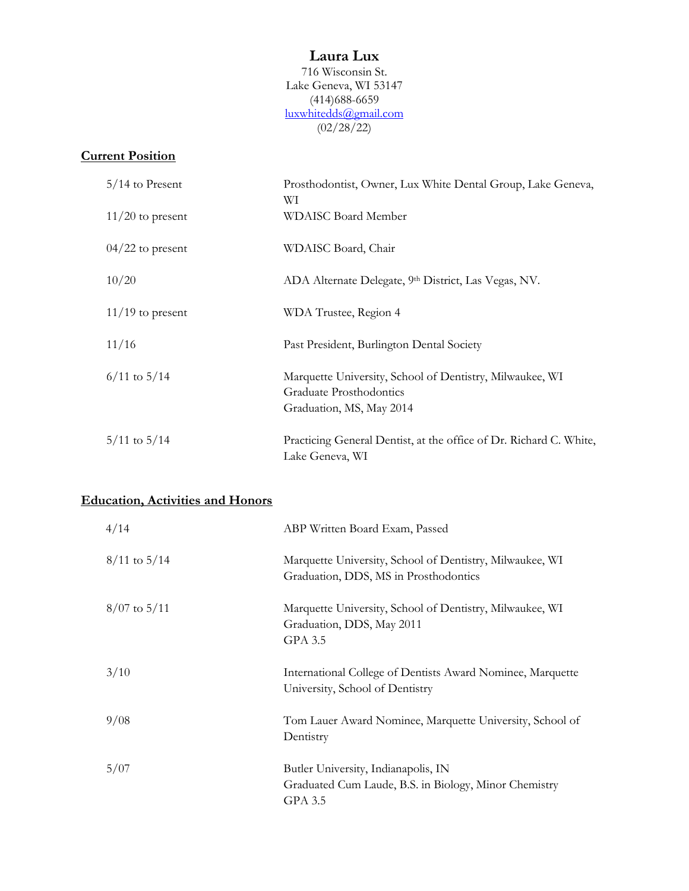### **Laura Lux**

716 Wisconsin St. Lake Geneva, WI 53147 (414)688-6659 [luxwhitedds@gmail.com](mailto:Laura.white@marquette.edu)  $(02/28/22)$ 

### **Current Position**

| $5/14$ to Present  | Prosthodontist, Owner, Lux White Dental Group, Lake Geneva,<br>WІ                                               |
|--------------------|-----------------------------------------------------------------------------------------------------------------|
| $11/20$ to present | WDAISC Board Member                                                                                             |
| $04/22$ to present | WDAISC Board, Chair                                                                                             |
| 10/20              | ADA Alternate Delegate, 9th District, Las Vegas, NV.                                                            |
| $11/19$ to present | WDA Trustee, Region 4                                                                                           |
| 11/16              | Past President, Burlington Dental Society                                                                       |
| $6/11$ to $5/14$   | Marquette University, School of Dentistry, Milwaukee, WI<br>Graduate Prosthodontics<br>Graduation, MS, May 2014 |
| $5/11$ to $5/14$   | Practicing General Dentist, at the office of Dr. Richard C. White,<br>Lake Geneva, WI                           |

# **Education, Activities and Honors**

| 4/14             | ABP Written Board Exam, Passed                                                                          |
|------------------|---------------------------------------------------------------------------------------------------------|
| $8/11$ to $5/14$ | Marquette University, School of Dentistry, Milwaukee, WI<br>Graduation, DDS, MS in Prosthodontics       |
| $8/07$ to $5/11$ | Marquette University, School of Dentistry, Milwaukee, WI<br>Graduation, DDS, May 2011<br>GPA 3.5        |
| 3/10             | International College of Dentists Award Nominee, Marquette<br>University, School of Dentistry           |
| 9/08             | Tom Lauer Award Nominee, Marquette University, School of<br>Dentistry                                   |
| 5/07             | Butler University, Indianapolis, IN<br>Graduated Cum Laude, B.S. in Biology, Minor Chemistry<br>GPA 3.5 |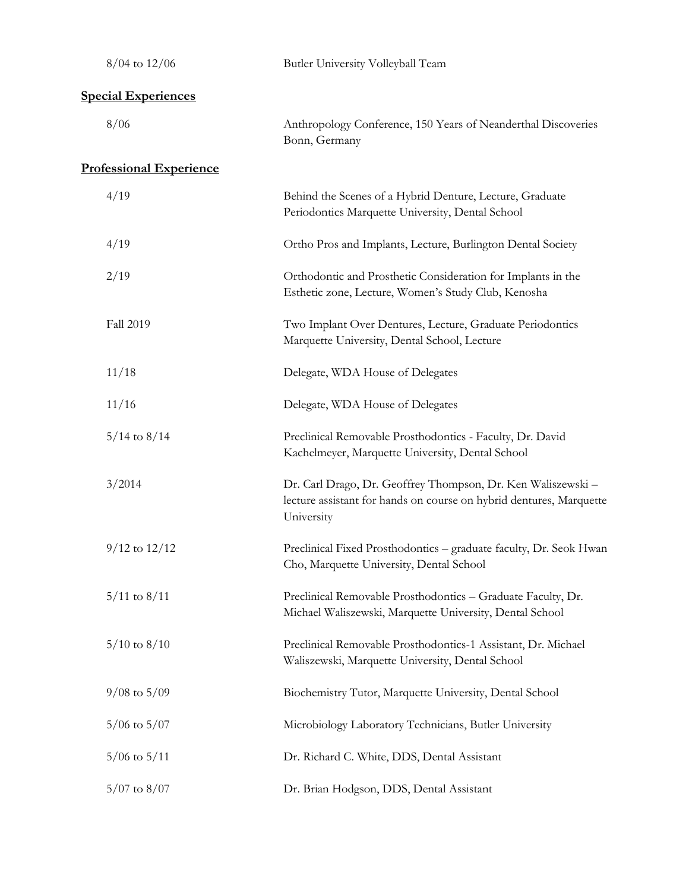| $8/04$ to $12/06$              | Butler University Volleyball Team                                                                                                                 |  |  |  |
|--------------------------------|---------------------------------------------------------------------------------------------------------------------------------------------------|--|--|--|
| <b>Special Experiences</b>     |                                                                                                                                                   |  |  |  |
| 8/06                           | Anthropology Conference, 150 Years of Neanderthal Discoveries<br>Bonn, Germany                                                                    |  |  |  |
| <b>Professional Experience</b> |                                                                                                                                                   |  |  |  |
| 4/19                           | Behind the Scenes of a Hybrid Denture, Lecture, Graduate<br>Periodontics Marquette University, Dental School                                      |  |  |  |
| 4/19                           | Ortho Pros and Implants, Lecture, Burlington Dental Society                                                                                       |  |  |  |
| 2/19                           | Orthodontic and Prosthetic Consideration for Implants in the<br>Esthetic zone, Lecture, Women's Study Club, Kenosha                               |  |  |  |
| Fall 2019                      | Two Implant Over Dentures, Lecture, Graduate Periodontics<br>Marquette University, Dental School, Lecture                                         |  |  |  |
| 11/18                          | Delegate, WDA House of Delegates                                                                                                                  |  |  |  |
| 11/16                          | Delegate, WDA House of Delegates                                                                                                                  |  |  |  |
| $5/14$ to $8/14$               | Preclinical Removable Prosthodontics - Faculty, Dr. David<br>Kachelmeyer, Marquette University, Dental School                                     |  |  |  |
| 3/2014                         | Dr. Carl Drago, Dr. Geoffrey Thompson, Dr. Ken Waliszewski -<br>lecture assistant for hands on course on hybrid dentures, Marquette<br>University |  |  |  |
| $9/12$ to $12/12$              | Preclinical Fixed Prosthodontics - graduate faculty, Dr. Seok Hwan<br>Cho, Marquette University, Dental School                                    |  |  |  |
| $5/11$ to $8/11$               | Preclinical Removable Prosthodontics - Graduate Faculty, Dr.<br>Michael Waliszewski, Marquette University, Dental School                          |  |  |  |
| $5/10$ to $8/10$               | Preclinical Removable Prosthodontics-1 Assistant, Dr. Michael<br>Waliszewski, Marquette University, Dental School                                 |  |  |  |
| $9/08$ to $5/09$               | Biochemistry Tutor, Marquette University, Dental School                                                                                           |  |  |  |
| $5/06$ to $5/07$               | Microbiology Laboratory Technicians, Butler University                                                                                            |  |  |  |
| $5/06$ to $5/11$               | Dr. Richard C. White, DDS, Dental Assistant                                                                                                       |  |  |  |
| $5/07$ to $8/07$               | Dr. Brian Hodgson, DDS, Dental Assistant                                                                                                          |  |  |  |
|                                |                                                                                                                                                   |  |  |  |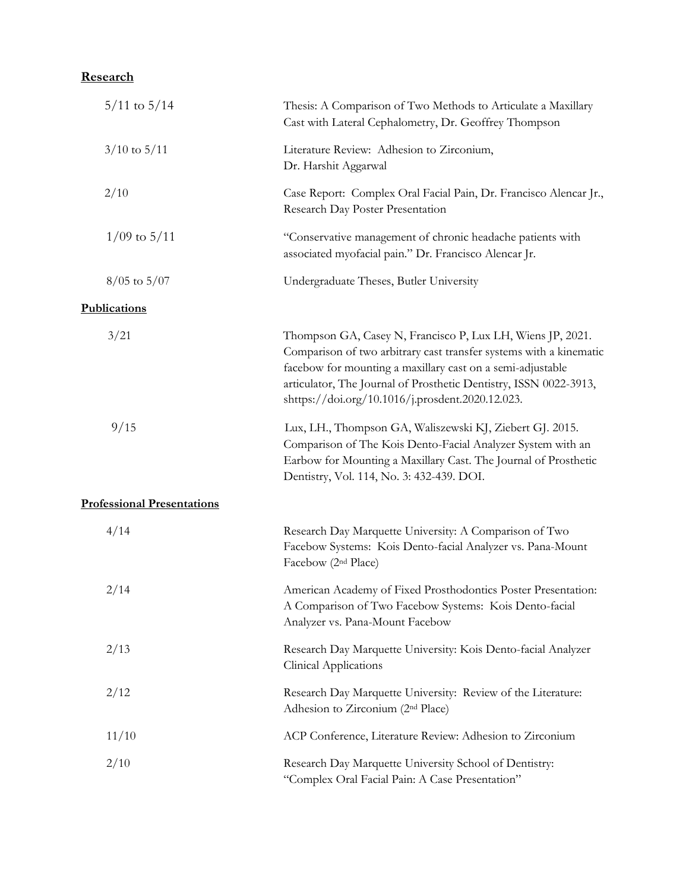## **Research**

| $5/11$ to $5/14$                  | Thesis: A Comparison of Two Methods to Articulate a Maxillary<br>Cast with Lateral Cephalometry, Dr. Geoffrey Thompson                                                                                                                                                                                                  |
|-----------------------------------|-------------------------------------------------------------------------------------------------------------------------------------------------------------------------------------------------------------------------------------------------------------------------------------------------------------------------|
| $3/10$ to $5/11$                  | Literature Review: Adhesion to Zirconium,<br>Dr. Harshit Aggarwal                                                                                                                                                                                                                                                       |
| 2/10                              | Case Report: Complex Oral Facial Pain, Dr. Francisco Alencar Jr.,<br>Research Day Poster Presentation                                                                                                                                                                                                                   |
| $1/09$ to $5/11$                  | "Conservative management of chronic headache patients with<br>associated myofacial pain." Dr. Francisco Alencar Jr.                                                                                                                                                                                                     |
| $8/05$ to $5/07$                  | Undergraduate Theses, Butler University                                                                                                                                                                                                                                                                                 |
| Publications                      |                                                                                                                                                                                                                                                                                                                         |
| 3/21                              | Thompson GA, Casey N, Francisco P, Lux LH, Wiens JP, 2021.<br>Comparison of two arbitrary cast transfer systems with a kinematic<br>facebow for mounting a maxillary cast on a semi-adjustable<br>articulator, The Journal of Prosthetic Dentistry, ISSN 0022-3913,<br>shttps://doi.org/10.1016/j.prosdent.2020.12.023. |
| 9/15                              | Lux, LH., Thompson GA, Waliszewski KJ, Ziebert GJ. 2015.<br>Comparison of The Kois Dento-Facial Analyzer System with an<br>Earbow for Mounting a Maxillary Cast. The Journal of Prosthetic<br>Dentistry, Vol. 114, No. 3: 432-439. DOI.                                                                                 |
| <b>Professional Presentations</b> |                                                                                                                                                                                                                                                                                                                         |
| 4/14                              | Research Day Marquette University: A Comparison of Two<br>Facebow Systems: Kois Dento-facial Analyzer vs. Pana-Mount<br>Facebow (2 <sup>nd</sup> Place)                                                                                                                                                                 |
| 2/14                              | American Academy of Fixed Prosthodontics Poster Presentation:<br>A Comparison of Two Facebow Systems: Kois Dento-facial<br>Analyzer vs. Pana-Mount Facebow                                                                                                                                                              |
| 2/13                              | Research Day Marquette University: Kois Dento-facial Analyzer<br><b>Clinical Applications</b>                                                                                                                                                                                                                           |
| 2/12                              | Research Day Marquette University: Review of the Literature:<br>Adhesion to Zirconium (2 <sup>nd</sup> Place)                                                                                                                                                                                                           |
| 11/10                             | ACP Conference, Literature Review: Adhesion to Zirconium                                                                                                                                                                                                                                                                |
| 2/10                              | Research Day Marquette University School of Dentistry:<br>"Complex Oral Facial Pain: A Case Presentation"                                                                                                                                                                                                               |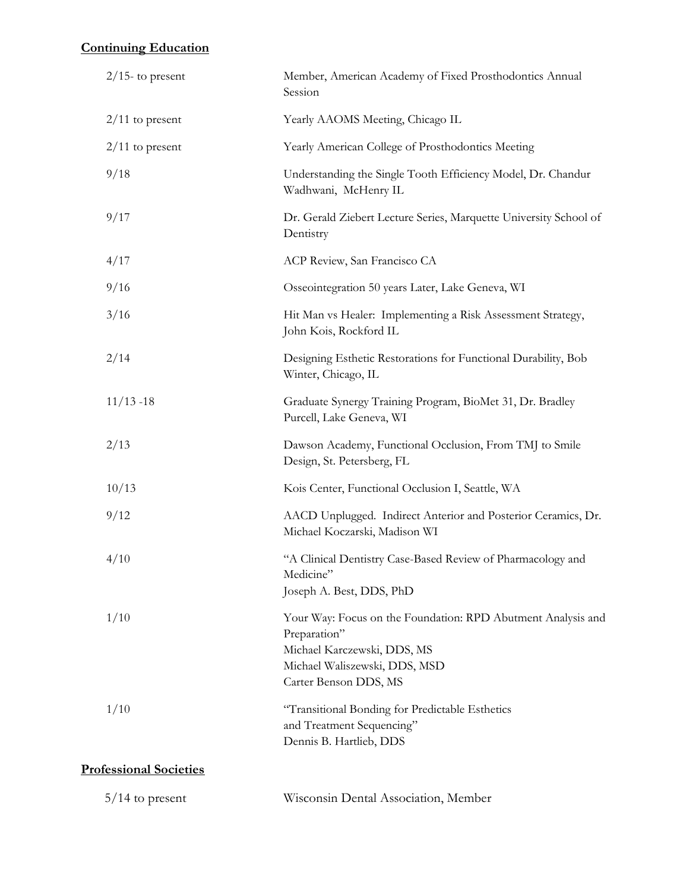## **Continuing Education**

| $2/15$ - to present           | Member, American Academy of Fixed Prosthodontics Annual<br>Session                                                                                                    |  |
|-------------------------------|-----------------------------------------------------------------------------------------------------------------------------------------------------------------------|--|
| $2/11$ to present             | Yearly AAOMS Meeting, Chicago IL                                                                                                                                      |  |
| $2/11$ to present             | Yearly American College of Prosthodontics Meeting                                                                                                                     |  |
| 9/18                          | Understanding the Single Tooth Efficiency Model, Dr. Chandur<br>Wadhwani, McHenry IL                                                                                  |  |
| 9/17                          | Dr. Gerald Ziebert Lecture Series, Marquette University School of<br>Dentistry                                                                                        |  |
| 4/17                          | ACP Review, San Francisco CA                                                                                                                                          |  |
| 9/16                          | Osseointegration 50 years Later, Lake Geneva, WI                                                                                                                      |  |
| 3/16                          | Hit Man vs Healer: Implementing a Risk Assessment Strategy,<br>John Kois, Rockford IL                                                                                 |  |
| 2/14                          | Designing Esthetic Restorations for Functional Durability, Bob<br>Winter, Chicago, IL                                                                                 |  |
| $11/13 - 18$                  | Graduate Synergy Training Program, BioMet 31, Dr. Bradley<br>Purcell, Lake Geneva, WI                                                                                 |  |
| 2/13                          | Dawson Academy, Functional Occlusion, From TMJ to Smile<br>Design, St. Petersberg, FL                                                                                 |  |
| 10/13                         | Kois Center, Functional Occlusion I, Seattle, WA                                                                                                                      |  |
| 9/12                          | AACD Unplugged. Indirect Anterior and Posterior Ceramics, Dr.<br>Michael Koczarski, Madison WI                                                                        |  |
| 4/10                          | "A Clinical Dentistry Case-Based Review of Pharmacology and<br>Medicine"<br>Joseph A. Best, DDS, PhD                                                                  |  |
| 1/10                          | Your Way: Focus on the Foundation: RPD Abutment Analysis and<br>Preparation"<br>Michael Karczewski, DDS, MS<br>Michael Waliszewski, DDS, MSD<br>Carter Benson DDS, MS |  |
| 1/10                          | "Transitional Bonding for Predictable Esthetics<br>and Treatment Sequencing"<br>Dennis B. Hartlieb, DDS                                                               |  |
| <b>Professional Societies</b> |                                                                                                                                                                       |  |

| $5/14$ to present | Wisconsin Dental Association, Member |  |
|-------------------|--------------------------------------|--|
|-------------------|--------------------------------------|--|